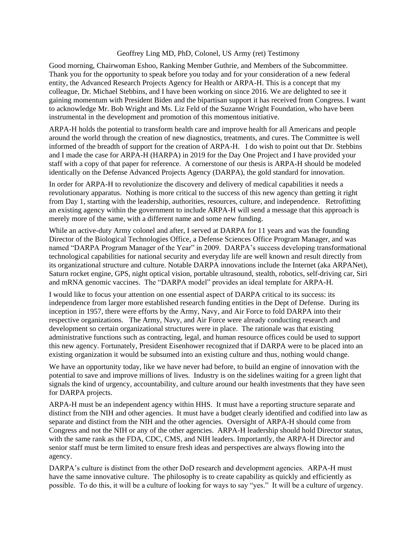## Geoffrey Ling MD, PhD, Colonel, US Army (ret) Testimony

Good morning, Chairwoman Eshoo, Ranking Member Guthrie, and Members of the Subcommittee. Thank you for the opportunity to speak before you today and for your consideration of a new federal entity, the Advanced Research Projects Agency for Health or ARPA-H. This is a concept that my colleague, Dr. Michael Stebbins, and I have been working on since 2016. We are delighted to see it gaining momentum with President Biden and the bipartisan support it has received from Congress. I want to acknowledge Mr. Bob Wright and Ms. Liz Feld of the Suzanne Wright Foundation, who have been instrumental in the development and promotion of this momentous initiative.

ARPA-H holds the potential to transform health care and improve health for all Americans and people around the world through the creation of new diagnostics, treatments, and cures. The Committee is well informed of the breadth of support for the creation of ARPA-H. I do wish to point out that Dr. Stebbins and I made the case for ARPA-H (HARPA) in 2019 for the Day One Project and I have provided your staff with a copy of that paper for reference. A cornerstone of our thesis is ARPA-H should be modeled identically on the Defense Advanced Projects Agency (DARPA), the gold standard for innovation.

In order for ARPA-H to revolutionize the discovery and delivery of medical capabilities it needs a revolutionary apparatus. Nothing is more critical to the success of this new agency than getting it right from Day 1, starting with the leadership, authorities, resources, culture, and independence. Retrofitting an existing agency within the government to include ARPA-H will send a message that this approach is merely more of the same, with a different name and some new funding.

While an active-duty Army colonel and after, I served at DARPA for 11 years and was the founding Director of the Biological Technologies Office, a Defense Sciences Office Program Manager, and was named "DARPA Program Manager of the Year" in 2009. DARPA's success developing transformational technological capabilities for national security and everyday life are well known and result directly from its organizational structure and culture. Notable DARPA innovations include the Internet (aka ARPANet), Saturn rocket engine, GPS, night optical vision, portable ultrasound, stealth, robotics, self-driving car, Siri and mRNA genomic vaccines. The "DARPA model" provides an ideal template for ARPA-H.

I would like to focus your attention on one essential aspect of DARPA critical to its success: its independence from larger more established research funding entities in the Dept of Defense. During its inception in 1957, there were efforts by the Army, Navy, and Air Force to fold DARPA into their respective organizations. The Army, Navy, and Air Force were already conducting research and development so certain organizational structures were in place. The rationale was that existing administrative functions such as contracting, legal, and human resource offices could be used to support this new agency. Fortunately, President Eisenhower recognized that if DARPA were to be placed into an existing organization it would be subsumed into an existing culture and thus, nothing would change.

We have an opportunity today, like we have never had before, to build an engine of innovation with the potential to save and improve millions of lives. Industry is on the sidelines waiting for a green light that signals the kind of urgency, accountability, and culture around our health investments that they have seen for DARPA projects.

ARPA-H must be an independent agency within HHS. It must have a reporting structure separate and distinct from the NIH and other agencies. It must have a budget clearly identified and codified into law as separate and distinct from the NIH and the other agencies. Oversight of ARPA-H should come from Congress and not the NIH or any of the other agencies. ARPA-H leadership should hold Director status, with the same rank as the FDA, CDC, CMS, and NIH leaders. Importantly, the ARPA-H Director and senior staff must be term limited to ensure fresh ideas and perspectives are always flowing into the agency.

DARPA's culture is distinct from the other DoD research and development agencies. ARPA-H must have the same innovative culture. The philosophy is to create capability as quickly and efficiently as possible. To do this, it will be a culture of looking for ways to say "yes." It will be a culture of urgency.